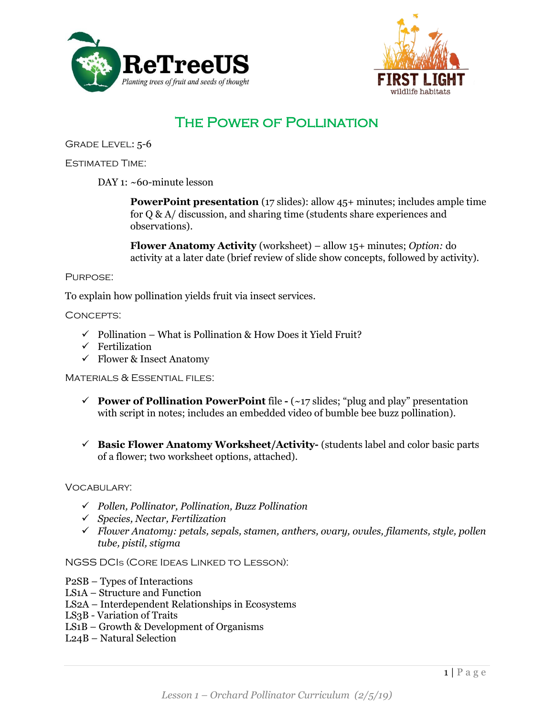



# The Power of Pollination

Grade Level: 5-6

Estimated Time:

DAY 1: ~60-minute lesson

**PowerPoint presentation** (17 slides): allow 45+ minutes; includes ample time for Q & A/ discussion, and sharing time (students share experiences and observations).

**Flower Anatomy Activity** (worksheet) – allow 15+ minutes; *Option:* do activity at a later date (brief review of slide show concepts, followed by activity).

#### Purpose:

To explain how pollination yields fruit via insect services.

Concepts:

- $\checkmark$  Pollination What is Pollination & How Does it Yield Fruit?
- $\checkmark$  Fertilization
- $\checkmark$  Flower & Insect Anatomy

Materials & Essential files:

- ✓ **Power of Pollination PowerPoint** file **-** (~17 slides; "plug and play" presentation with script in notes; includes an embedded video of bumble bee buzz pollination).
- ✓ **Basic Flower Anatomy Worksheet/Activity-** (students label and color basic parts of a flower; two worksheet options, attached).

Vocabulary:

- ✓ *Pollen, Pollinator, Pollination, Buzz Pollination*
- ✓ *Species, Nectar, Fertilization*
- ✓ *Flower Anatomy: petals, sepals, stamen, anthers, ovary, ovules, filaments, style, pollen tube, pistil, stigma*

NGSS DCIs (Core Ideas Linked to Lesson):

- P2SB Types of Interactions
- LS1A Structure and Function
- LS2A Interdependent Relationships in Ecosystems
- LS3B Variation of Traits
- LS1B Growth & Development of Organisms
- L24B Natural Selection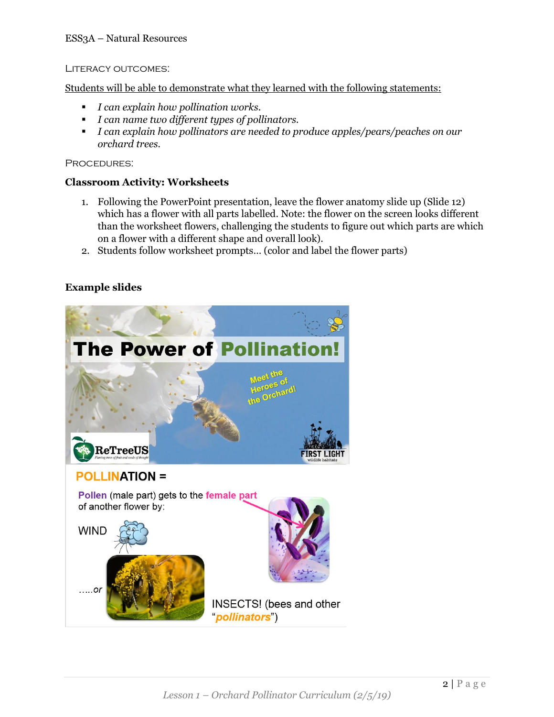#### Literacy outcomes:

Students will be able to demonstrate what they learned with the following statements:

- *I can explain how pollination works.*
- *I can name two different types of pollinators.*
- *I can explain how pollinators are needed to produce apples/pears/peaches on our orchard trees.*

PROCEDURES:

### **Classroom Activity: Worksheets**

- 1. Following the PowerPoint presentation, leave the flower anatomy slide up (Slide 12) which has a flower with all parts labelled. Note: the flower on the screen looks different than the worksheet flowers, challenging the students to figure out which parts are which on a flower with a different shape and overall look).
- 2. Students follow worksheet prompts… (color and label the flower parts)

## **Example slides**